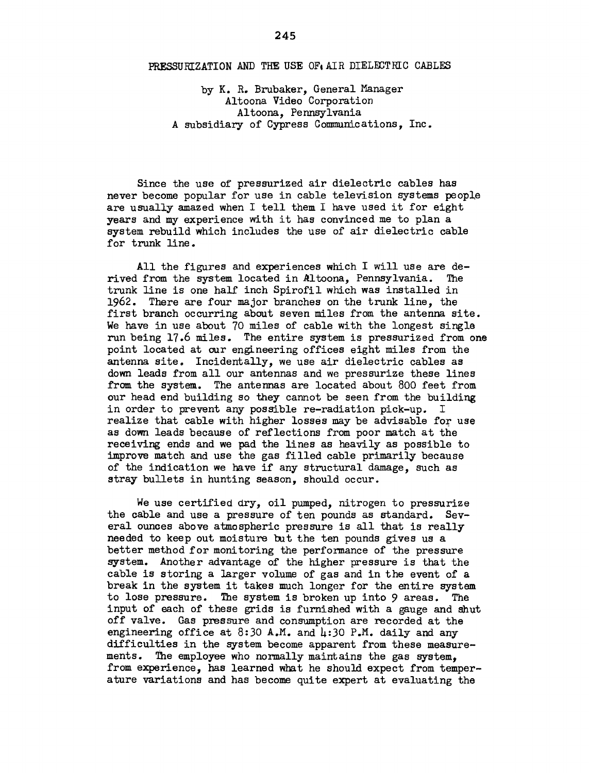## PRESSURIZATION AND THE USE OF AIR DIELECTRIC CABLES

by K. R. Brubaker, General Manager Altoona Video Corporation Altoona, Pennsylvania A subsidiary of Cypress Communications, Inc.

Since the use of pressurized air dielectric cables has never become popular for use in cable television systems people are usually amazed when I tell them I have used it for eight years and my experience with it has convinced me to plan a system rebuild which includes the use of air dielectric cable for trunk line.

All the figures and experiences which I will use are derived from the system located in Altoona, Pennsylvania. The trunk line is one half inch Spirofil which was installed in 1962. There are four major branches on the trunk line, the first branch occurring about seven miles from the antenna site. We have in use about 70 miles of cable with the longest single run being 17.6 miles. The entire system is pressurized from one point located at our engineering offices eight miles from the antenna site. Incidentally, we use air dielectric cables as down leads from all our antennas and we pressurize these lines from the system. The antennas are located about 800 feet from our head end building so they cannot be seen from the building in order to prevent any possible re-radiation pick-up. I realize that cable with higher losses may be advisable for use as down leads because of reflections from poor match at the receiving ends and we pad the lines as heavily as possible to improve match and use the gas filled cable primarily because of the indication we have if any structural damage, such as stray bullets in hunting season, should occur.

We use certified dry, oil pumped, nitrogen to pressurize the cable and use a pressure of ten pounds as standard. Several ounces above atmospheric pressure is all that is really needed to keep out moisture but the ten pounds gives us a better method for monitoring the performance of the pressure system. Another advantage of the higher pressure is that the cable is storing a larger volume of gas and in the event of a break in the system it takes much longer for the entire system to lose pressure. The system is broken up into 9 areas. The input of each of these grids is furnished with a gauge and shut off valve. Gas pressure and consumption are recorded at the engineering office at 8:30 A.M. and  $\mu$ :30 P.M. daily and any difficulties in the system become apparent from these measurements. The employee who normally maintains the gas system. from experience, has learned what he should expect from temperature variations and has become quite expert at evaluating the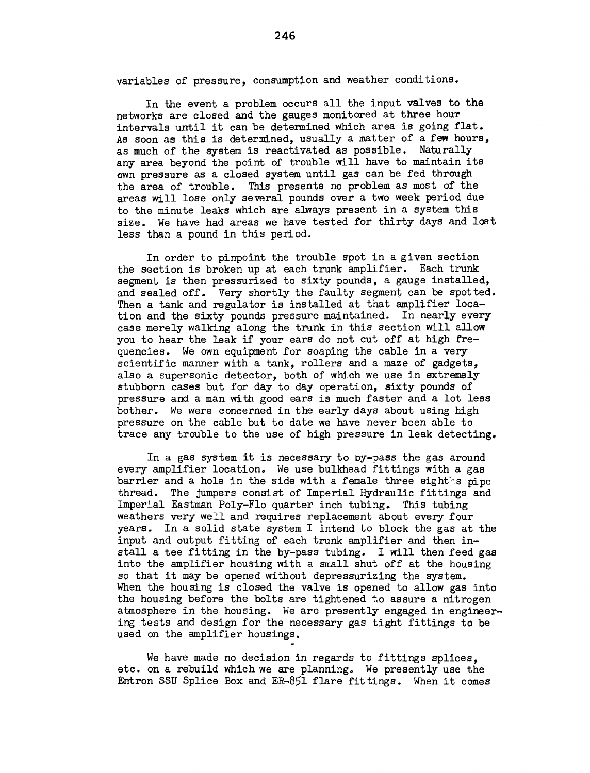variables of pressure, consumption and weather conditions.

In the event a problem occurs all the input valves to the networks are closed and the gauges monitored at three hour intervals until it can be determined which area is going flat. As soon as this is determined, usually a matter of a few hours, as much of the system is reactivated as possible. Naturally any area beyond the point of trouble will have to maintain its own pressure as a closed system until gas can be fed through the area of trouble. This presents no problem as most of the areas will lose only several pounds over a two week period due to the minute leaks which are always present in a system this size. We have had areas we have tested for thirty days and lost less than a pound in this period.

In order to pinpoint the trouble spot in a given section the section is broken up at each trunk amplifier. Each trunk segment is then pressurized to sixty pounds, a gauge installed, and sealed off. Very shortly the faulty segment can be spotted. Then a tank and regulator is installed at that amplifier location and the sixty pounds pressure maintained. In nearly every case merely walking along the trunk in this section will allow you to hear the leak if your ears do not cut off at high frequencies. We own equipment for soaping the cable in a very scientific manner with a tank, rollers and a maze of gadgets, also a supersonic detector, both of which we use in extremely stubborn cases but for day to day operation, sixty pounds of pressure and a man with good ears is much faster and a lot less bother. We were concerned in the early days about using high pressure on the cable but to date we have never been able to trace any trouble to the use of high pressure in leak detecting.

In a gas system it is necessary to oy-pass the gas around every amplifier location. We use bulkhead fittings with a gas barrier and a hole in the side with a female three eighthes pipe thread. The jumpers consist of Imperial Hydraulic fittings and Imperial Eastman Poly-Flo quarter inch tubing. This tubing weathers very well and requires replacement about every four years. In a solid state system I intend to block the gas at the input and output fitting of each trunk amplifier and then install a tee fitting in the by-pass tubing. I will then feed gas into the amplifier housing with a small shut off at the housing so that it may be opened without depressurizing the system. When the housing is closed the valve is opened to allow gas into the housing before the bolts are tightened to assure a nitrogen atmosphere in the housing. We are presently engaged in engineering tests and design for the necessary gas tight fittings to be used on the amplifier housings.

We have made no decision in regards to fittings splices. etc. on a rebuild which we are planning. We presently use the Entron SSU Splice Box and ER-851 flare fittings. When it comes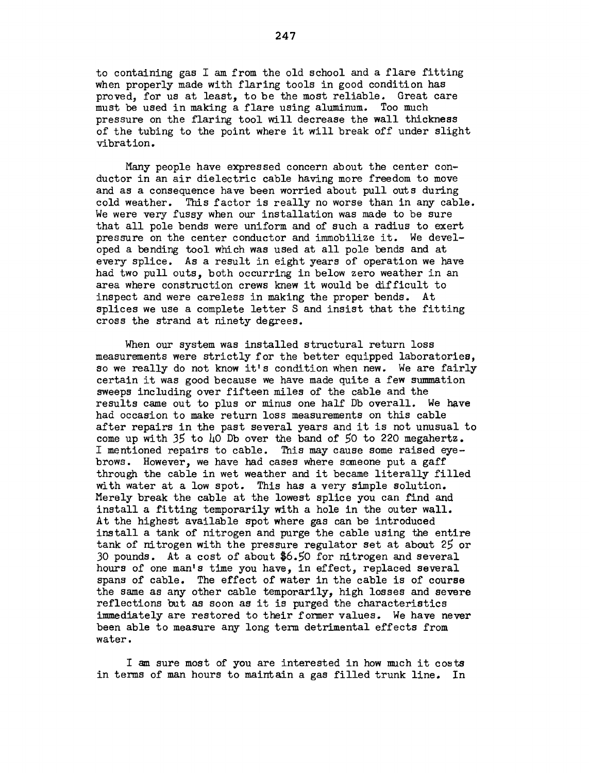to containing gas I am from the old school and a flare fitting when properly made with flaring tools in good condition has proved, for us at least, to be the most reliable. Great care must be used in making a flare using aluminum. Too much pressure on the flaring tool will decrease the wall thickness of the tubing to the point where it will break off under slight vibration.

Many people have expressed concern about the center conductor in an air dielectric cable having more freedom to move and as a consequence have been worried about pull outs during cold weather. This factor is really no worse than in any cable. We were very fussy when our installation was made to be sure that all pole bends were uniform and of such a radius to exert pressure on the center conductor and immobilize it. We developed a bending tool which was used at all pole bends and at every splice. As a result in eight years of operation we have had two pull outs, both occurring in below zero weather in an area where construction crews knew it would be difficult to inspect and were careless in making the proper bends. At splices we use a complete letter S and insist that the fitting cross the strand at ninety degrees.

When our system was installed structural return loss measurements were strictly for the better equipped laboratories, so we really do not know it's condition when new. We are fairly certain it was good because we have made quite a few summation sweeps including over fifteen miles of the cable and the results came out to plus or minus one half Db overall. We have had occasion to make return loss measurements on this cable after repairs in the past several years and it is not unusual to come up with 35 to 40 Db over the band of 50 to 220 megahertz. I mentioned repairs to cable. This may cause some raised eyebrows. However, we have had cases where someone put a gaff through the cable in wet weather and it became literally filled with water at a low spot. This has a very simple solution. Merely break the cable at the lowest splice you can find and install a fitting temporarily with a hole in the outer wall. At the highest available spot where gas can be introduced install a tank of nitrogen and purge the cable using the entire tank of nitrogen with the pressure regulator set at about 25 or *30* pounds. At a cost of about \$6.50 for nitrogen and several hours of one man's time you have, in effect, replaced several spans of cable. The effect of water in the cable is of course the same as any other cable temporarily, high losses and severe reflections but as soon as it is purged the characteristics immediately are restored to their former values. We have never been able to measure any long term detrimental effects from water.

I am sure most of you are interested in how much it costs in terms of man hours to maintain a gas filled trunk line. In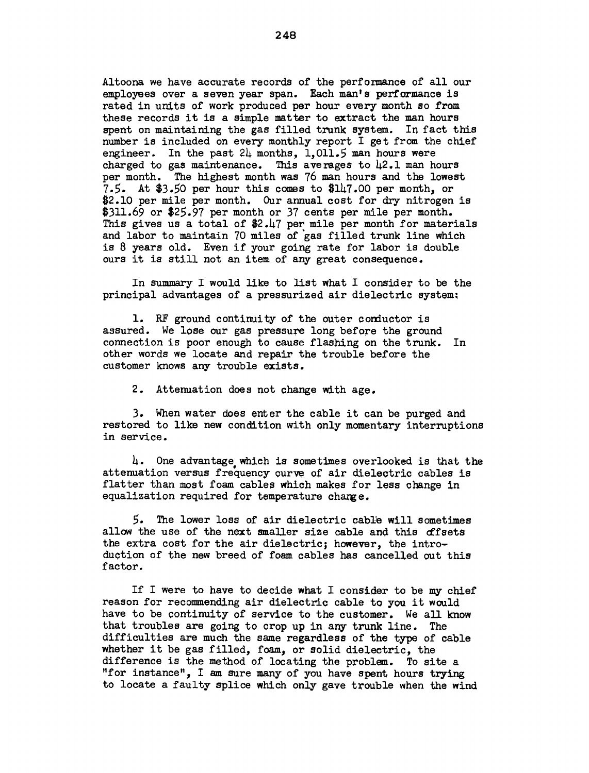Altoona we have accurate records of the performance of all our employees over a seven year span. Each man's performance is rated in units of work produced per hour every month so from these records it is a simple matter to extract the man hours spent on maintaining the gas filled trunk system. In fact this number is included on every monthly report I get from the chief engineer. In the past  $2\mu$  months, 1,011.5 man hours were charged to gas maintenance. This averages to  $\mu$ 2.1 man hours per month. The highest month was 76 man hours and the lowest 7.5. At \$3.50 per hour this comes to \$147.00 per month, or \$2.10 per mile per month. Our annual cost for dry nitrogen is \$311.69 or \$25.97 per month or 37 cents per mile per month. This gives us a total of \$2.47 per mile per month for materials and labor to maintain 70 miles of gas filled trunk line which is 8 years old. Even if your going rate for labor is double ours it is still not an item of any great consequence.

In summary I would like to list what I consider to be the principal advantages of a pressurized air dielectric system:

1. RF ground continuity of the outer conductor is assured. We lose our gas pressure long before the ground connection is poor enough to cause flashing on the trunk. In other words we locate and repair the trouble before the customer knows any trouble exists.

2. Attenuation does not change with age.

3. When water does enter the cable it can be purged and restored to like new condition with only momentary interruptions in service.

 $\mu$ . One advantage which is sometimes overlooked is that the attenuation versus frequency curve of air dielectric cables is flatter than most foam cables which makes for less change in equalization required for temperature change.

5. The lower loss of air dielectric cable will sometimes allow the use of the next smaller size cable and this dfsets the extra cost for the air dielectric; however, the introduction of the new breed of foam cables has cancelled out this factor.

If I were to have to decide what I consider to be my chief reason for recommending air dielectric cable to you it would have to be continuity of service to the customer. We all know that troubles are going to crop up in any trunk line. The difficulties are much the same regardless of the type of cable whether it be gas filled, foam, or solid dielectric, the difference is the method of locating the problem. To site a "for instance", I am sure many of you have spent hours trying to locate a faulty splice which only gave trouble when the wind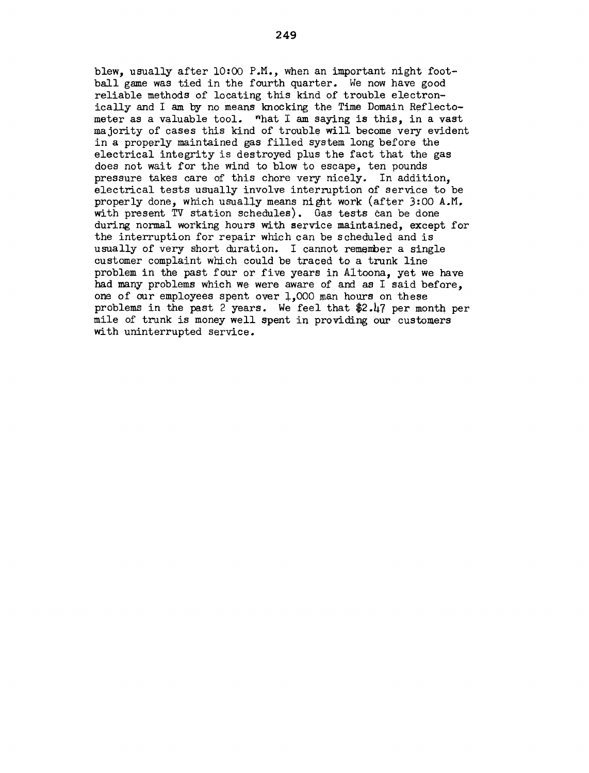blew, usually after  $10:00$  P.M., when an important night football game was tied in the fourth quarter. We now have good reliable methods of locating this kind of trouble electronically and I am by no means knocking the Time Domain Reflectometer as a valuable tool. ~hat I am saying is this, in a vast majority of cases this kind of trouble will become very evident in a properly maintained gas filled system long before the electrical integrity is destroyed plus the fact that the gas does not wait for the wind to blow to escape, ten pounds pressure takes care of this chore very nicely. In addition, electrical tests usually involve interruption of service to be properly done, which usually means night work (after 3:00 A.M. with present TV station schedules). Gas tests can be done during normal working hours with service maintained, except for the interruption for repair which can be scheduled and is usually of very short duration. I cannot remember a single customer complaint which could be traced to a trunk line problem in the past four or five years in Altoona, yet we have had many problems which we were aware of and as I said before, one of our employees spent over 1,000 man hours on these problems in the past 2 years. We feel that \$2.47 per month per mile of trunk is money well spent in providing our customers with uninterrupted service.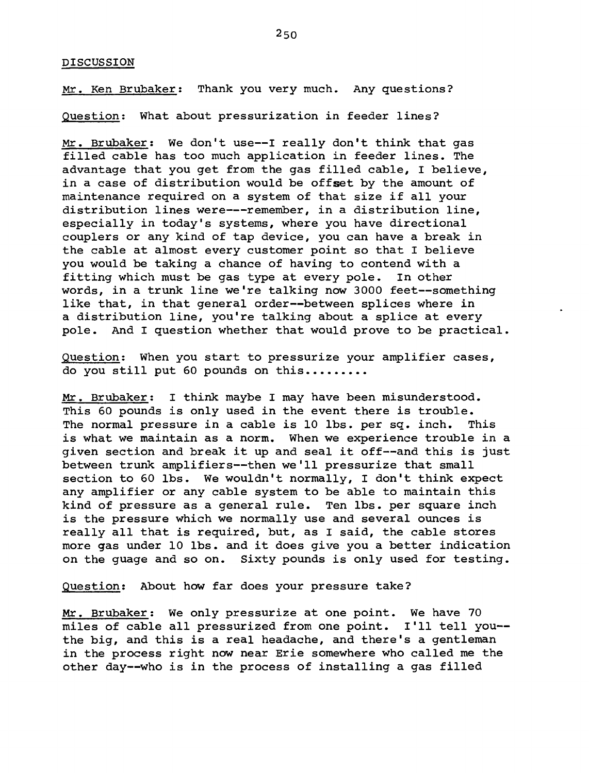## DISCUSSION

Mr. Ken Brubaker: Thank you very much. Any questions?

Question: What about pressurization in feeder lines?

Mr. Brubaker: We don't use--! really don't think that gas filled cable has too much application in feeder lines. The advantage that you get from the gas filled cable, I believe, in a case of distribution would be offset by the amount of maintenance required on a system of that size if all your distribution lines were---remember, in a distribution line, especially in today's systems, where you have directional couplers or any kind of tap device, you can have a break in the cable at almost every customer point so that I believe you would be taking a chance of having to contend with a fitting which must be gas type at every pole. In other words, in a trunk line we're talking now 3000 feet--something like that, in that general order--between splices where in a distribution line, you're talking about a splice at every pole. And I question whether that would prove to be practical.

Question: When you start to pressurize your amplifier cases, do you still put 60 pounds on this.........

Mr. Brubaker: I think maybe I may have been misunderstood. This 60 pounds is only used in the event there is trouble. The normal pressure in a cable is 10 lbs. per sq. inch. This is what we maintain as a norm. When we experience trouble in a given section and break it up and seal it off--and this is just between trunk amplifiers--then we'll pressurize that small section to 60 lbs. We wouldn't normally, I don't think expect any amplifier or any cable system to be able to maintain this kind of pressure as a general rule. Ten lbs. per square inch is the pressure which we normally use and several ounces is really all that is required, but, as I said, the cable stores more gas under 10 lbs. and it does give you a better indication on the guage and so on. Sixty pounds is only used for testing.

Question: About how far does your pressure take?

Mr. Brubaker: We only pressurize at one point. We have 70 miles of cable all pressurized from one point. I'll tell you- the big, and this is a real headache, and there's a gentleman in the process right now near Erie somewhere who called me the other day--who is in the process of installing a gas filled